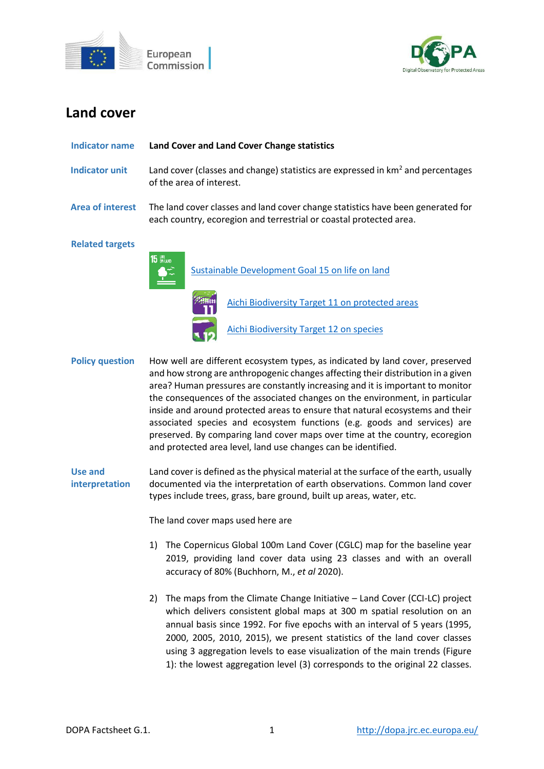



# **Land cover**

| <b>Indicator name</b>            | Land Cover and Land Cover Change statistics                                                                                                                                                                                                                                                                                                                                                                                                                                                                                                                                                                                                      |  |  |
|----------------------------------|--------------------------------------------------------------------------------------------------------------------------------------------------------------------------------------------------------------------------------------------------------------------------------------------------------------------------------------------------------------------------------------------------------------------------------------------------------------------------------------------------------------------------------------------------------------------------------------------------------------------------------------------------|--|--|
| <b>Indicator unit</b>            | Land cover (classes and change) statistics are expressed in $km2$ and percentages<br>of the area of interest.                                                                                                                                                                                                                                                                                                                                                                                                                                                                                                                                    |  |  |
| <b>Area of interest</b>          | The land cover classes and land cover change statistics have been generated for<br>each country, ecoregion and terrestrial or coastal protected area.                                                                                                                                                                                                                                                                                                                                                                                                                                                                                            |  |  |
| <b>Related targets</b>           | <b>15 UFE</b><br>Sustainable Development Goal 15 on life on land<br><b>Aichi Biodiversity Target 11 on protected areas</b><br><b>Aichi Biodiversity Target 12 on species</b>                                                                                                                                                                                                                                                                                                                                                                                                                                                                     |  |  |
| <b>Policy question</b>           | How well are different ecosystem types, as indicated by land cover, preserved<br>and how strong are anthropogenic changes affecting their distribution in a given<br>area? Human pressures are constantly increasing and it is important to monitor<br>the consequences of the associated changes on the environment, in particular<br>inside and around protected areas to ensure that natural ecosystems and their<br>associated species and ecosystem functions (e.g. goods and services) are<br>preserved. By comparing land cover maps over time at the country, ecoregion<br>and protected area level, land use changes can be identified. |  |  |
| <b>Use and</b><br>interpretation | Land cover is defined as the physical material at the surface of the earth, usually<br>documented via the interpretation of earth observations. Common land cover<br>types include trees, grass, bare ground, built up areas, water, etc.                                                                                                                                                                                                                                                                                                                                                                                                        |  |  |

The land cover maps used here are

- 1) The Copernicus Global 100m Land Cover (CGLC) map for the baseline year 2019, providing land cover data using 23 classes and with an overall accuracy of 80% (Buchhorn, M., *et al* 2020).
- 2) The maps from the Climate Change Initiative Land Cover (CCI-LC) project which delivers consistent global maps at 300 m spatial resolution on an annual basis since 1992. For five epochs with an interval of 5 years (1995, 2000, 2005, 2010, 2015), we present statistics of the land cover classes using 3 aggregation levels to ease visualization of the main trends (Figure 1): the lowest aggregation level (3) corresponds to the original 22 classes.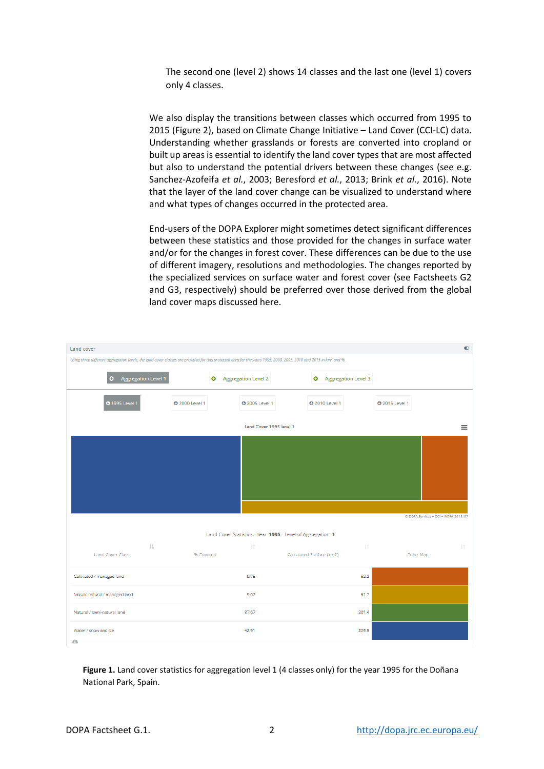The second one (level 2) shows 14 classes and the last one (level 1) covers only 4 classes.

We also display the transitions between classes which occurred from 1995 to 2015 (Figure 2), based on Climate Change Initiative – Land Cover (CCI-LC) data. Understanding whether grasslands or forests are converted into cropland or built up areas is essential to identify the land cover types that are most affected but also to understand the potential drivers between these changes (see e.g. Sanchez-Azofeifa *et al.*, 2003; Beresford *et al.*, 2013; Brink *et al.*, 2016). Note that the layer of the land cover change can be visualized to understand where and what types of changes occurred in the protected area.

End-users of the DOPA Explorer might sometimes detect significant differences between these statistics and those provided for the changes in surface water and/or for the changes in forest cover. These differences can be due to the use of different imagery, resolutions and methodologies. The changes reported by the specialized services on surface water and forest cover (see Factsheets G2 and G3, respectively) should be preferred over those derived from the global land cover maps discussed here.

| Land cover                                                                                                                                                                    |                                                              |                                | $\bullet$                            |
|-------------------------------------------------------------------------------------------------------------------------------------------------------------------------------|--------------------------------------------------------------|--------------------------------|--------------------------------------|
| Using three different aggregation levels, the land cover classes are provided for this protected area for the years 1995, 2000, 2005, 2010 and 2015 in km <sup>2</sup> and %. |                                                              |                                |                                      |
| Aggregation Level 1<br>ø                                                                                                                                                      | <b>O</b> Aggregation Level 2                                 | <b>O</b> Aggregation Level 3   |                                      |
| <b>0</b> 1995 Level 1<br><b>3</b> 2000 Level 1                                                                                                                                | <b>3</b> 2005 Level 1                                        | <b>0</b> 2010 Level 1          | <b>0</b> 2015 Level 1                |
|                                                                                                                                                                               | Land Cover 1995 level 1                                      |                                | $\equiv$                             |
|                                                                                                                                                                               |                                                              |                                |                                      |
|                                                                                                                                                                               |                                                              |                                |                                      |
|                                                                                                                                                                               |                                                              |                                |                                      |
|                                                                                                                                                                               |                                                              |                                | @ DOPA Services - CCI - WDPA 2018/07 |
|                                                                                                                                                                               | Land Cover Statistics - Year: 1995 - Level of Aggregation: 1 |                                |                                      |
| 15<br><b>Land Cover Class</b><br>% Covered                                                                                                                                    | 11                                                           | 11<br>Calculated Surface (km2) | It.<br>Color Map                     |
| Cultivated / managed land                                                                                                                                                     | 9.75                                                         | 52.2                           |                                      |
| Mosaic natural / managed land                                                                                                                                                 | 9.67                                                         | 51.7                           |                                      |
| Natural / semi-natural land                                                                                                                                                   | 37.67                                                        | 201.4                          |                                      |
| Water / snow and ice                                                                                                                                                          | 42.91                                                        | 229.5                          |                                      |

**Figure 1.** Land cover statistics for aggregation level 1 (4 classes only) for the year 1995 for the Doñana National Park, Spain.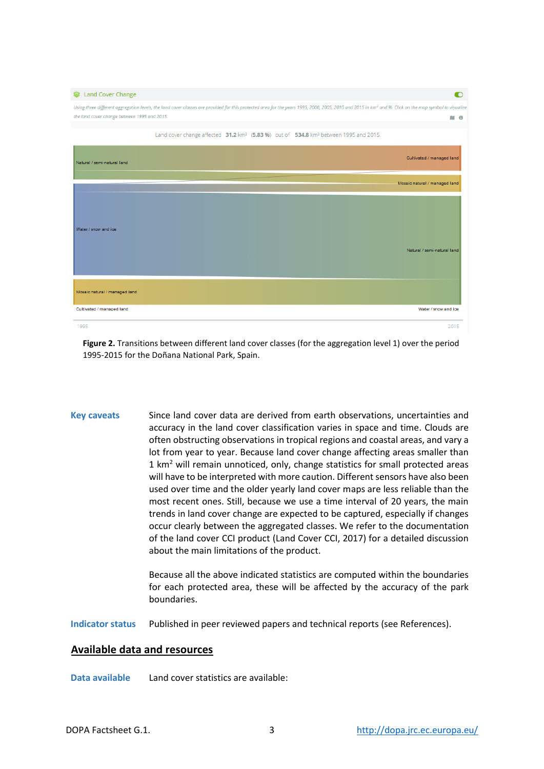| <b>S</b> Land Cover Change                   |                                                                                                                                                                                                                    | $\bullet$                     |
|----------------------------------------------|--------------------------------------------------------------------------------------------------------------------------------------------------------------------------------------------------------------------|-------------------------------|
| the land cover change between 1995 and 2015. | Using three different aggregation levels, the land cover classes are provided for this protected area for the years 1995, 2000, 2005, 2010 and 2015 in km <sup>2</sup> and %. Click on the map symbol to visualize | $M$ $\Theta$                  |
|                                              | Land cover change affected 31.2 km <sup>2</sup> (5.83 %) out of 534.8 km <sup>2</sup> between 1995 and 2015.                                                                                                       |                               |
| Natural / semi-natural land                  |                                                                                                                                                                                                                    | Cultivated / managed land     |
|                                              |                                                                                                                                                                                                                    | Mosaic natural / managed land |
| Water / snow and ice                         |                                                                                                                                                                                                                    | Natural / semi-natural land   |
| Mossic natural / managed land                |                                                                                                                                                                                                                    |                               |
| Cultivated / managed land                    |                                                                                                                                                                                                                    | Water / snow and ice          |
| 1995                                         |                                                                                                                                                                                                                    | 2015                          |

**Figure 2.** Transitions between different land cover classes (for the aggregation level 1) over the period 1995-2015 for the Doñana National Park, Spain.

**Key caveats** Since land cover data are derived from earth observations, uncertainties and accuracy in the land cover classification varies in space and time. Clouds are often obstructing observations in tropical regions and coastal areas, and vary a lot from year to year. Because land cover change affecting areas smaller than 1 km<sup>2</sup> will remain unnoticed, only, change statistics for small protected areas will have to be interpreted with more caution. Different sensors have also been used over time and the older yearly land cover maps are less reliable than the most recent ones. Still, because we use a time interval of 20 years, the main trends in land cover change are expected to be captured, especially if changes occur clearly between the aggregated classes. We refer to the documentation of the land cover CCI product (Land Cover CCI, 2017) for a detailed discussion about the main limitations of the product.

> Because all the above indicated statistics are computed within the boundaries for each protected area, these will be affected by the accuracy of the park boundaries.

**Indicator status** Published in peer reviewed papers and technical reports (see References).

## **Available data and resources**

**Data available** Land cover statistics are available: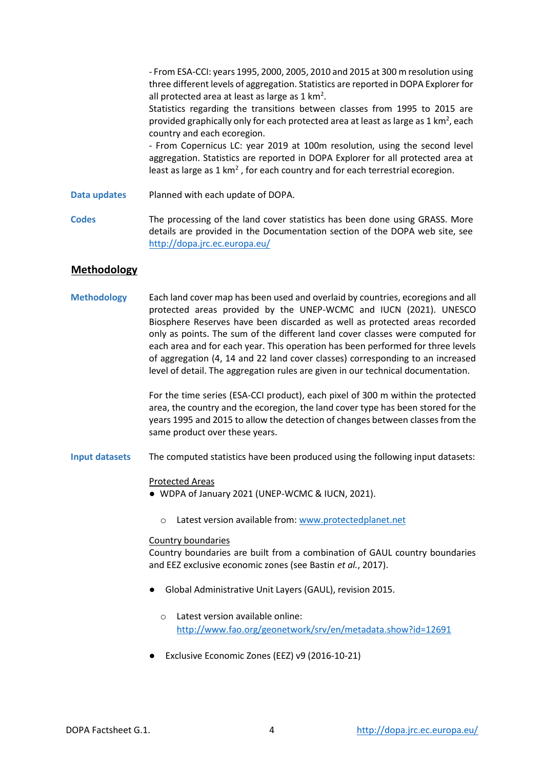- From ESA-CCI: years 1995, 2000, 2005, 2010 and 2015 at 300 m resolution using three different levels of aggregation. Statistics are reported in DOPA Explorer for all protected area at least as large as  $1 \text{ km}^2$ .

Statistics regarding the transitions between classes from 1995 to 2015 are provided graphically only for each protected area at least as large as  $1 \text{ km}^2$ , each country and each ecoregion.

- From Copernicus LC: year 2019 at 100m resolution, using the second level aggregation. Statistics are reported in DOPA Explorer for all protected area at least as large as 1  $km^2$  , for each country and for each terrestrial ecoregion.

**Data updates** Planned with each update of DOPA.

**Codes** The processing of the land cover statistics has been done using GRASS. More details are provided in the Documentation section of the DOPA web site, see <http://dopa.jrc.ec.europa.eu/>

# **Methodology**

**Methodology** Each land cover map has been used and overlaid by countries, ecoregions and all protected areas provided by the UNEP-WCMC and IUCN (2021). UNESCO Biosphere Reserves have been discarded as well as protected areas recorded only as points. The sum of the different land cover classes were computed for each area and for each year. This operation has been performed for three levels of aggregation (4, 14 and 22 land cover classes) corresponding to an increased level of detail. The aggregation rules are given in our technical documentation.

> For the time series (ESA-CCI product), each pixel of 300 m within the protected area, the country and the ecoregion, the land cover type has been stored for the years 1995 and 2015 to allow the detection of changes between classes from the same product over these years.

**Input datasets** The computed statistics have been produced using the following input datasets:

#### Protected Areas

● WDPA of January 2021 (UNEP-WCMC & IUCN, 2021).

o Latest version available from[: www.protectedplanet.net](http://www.protectedplanet.net/)

#### Country boundaries

Country boundaries are built from a combination of GAUL country boundaries and EEZ exclusive economic zones (see Bastin *et al.*, 2017).

- Global Administrative Unit Layers (GAUL), revision 2015.
	- o Latest version available online: <http://www.fao.org/geonetwork/srv/en/metadata.show?id=12691>
- Exclusive Economic Zones (EEZ) v9 (2016-10-21)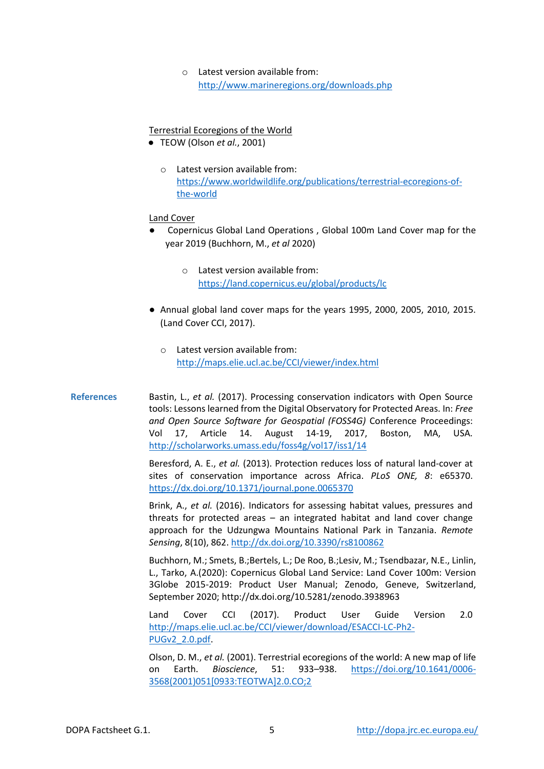o Latest version available from: <http://www.marineregions.org/downloads.php>

## Terrestrial Ecoregions of the World

- TEOW (Olson *et al.*, 2001)
	- o Latest version available from: [https://www.worldwildlife.org/publications/terrestrial-ecoregions-of](https://www.worldwildlife.org/publications/terrestrial-ecoregions-of-the-world)[the-world](https://www.worldwildlife.org/publications/terrestrial-ecoregions-of-the-world)

## Land Cover

- Copernicus Global Land Operations, Global 100m Land Cover map for the year 2019 (Buchhorn, M., *et al* 2020)
	- o Latest version available from: <https://land.copernicus.eu/global/products/lc>
- Annual global land cover maps for the years 1995, 2000, 2005, 2010, 2015. (Land Cover CCI, 2017).
	- o Latest version available from: <http://maps.elie.ucl.ac.be/CCI/viewer/index.html>

## **References** Bastin, L., *et al.* (2017). Processing conservation indicators with Open Source tools: Lessons learned from the Digital Observatory for Protected Areas. In: *Free and Open Source Software for Geospatial (FOSS4G)* Conference Proceedings: Vol 17, Article 14. August 14-19, 2017, Boston, MA, USA. <http://scholarworks.umass.edu/foss4g/vol17/iss1/14>

Beresford, A. E., *et al.* (2013). Protection reduces loss of natural land-cover at sites of conservation importance across Africa. *PLoS ONE, 8*: e65370. <https://dx.doi.org/10.1371/journal.pone.0065370>

Brink, A., *et al.* (2016). Indicators for assessing habitat values, pressures and threats for protected areas – an integrated habitat and land cover change approach for the Udzungwa Mountains National Park in Tanzania. *Remote Sensing*, 8(10), 862.<http://dx.doi.org/10.3390/rs8100862>

Buchhorn, M.; Smets, B.;Bertels, L.; De Roo, B.;Lesiv, M.; Tsendbazar, N.E., Linlin, L., Tarko, A.(2020): Copernicus Global Land Service: Land Cover 100m: Version 3Globe 2015-2019: Product User Manual; Zenodo, Geneve, Switzerland, September 2020; http://dx.doi.org/10.5281/zenodo.3938963

Land Cover CCI (2017). Product User Guide Version 2.0 [http://maps.elie.ucl.ac.be/CCI/viewer/download/ESACCI-LC-Ph2-](http://maps.elie.ucl.ac.be/CCI/viewer/download/ESACCI-LC-Ph2-PUGv2_2.0.pdf) [PUGv2\\_2.0.pdf.](http://maps.elie.ucl.ac.be/CCI/viewer/download/ESACCI-LC-Ph2-PUGv2_2.0.pdf)

Olson, D. M., *et al.* (2001). Terrestrial ecoregions of the world: A new map of life on Earth. *Bioscience*, 51: 933–938. [https://doi.org/10.1641/0006-](https://doi.org/10.1641/0006-3568(2001)051%5b0933:TEOTWA%5d2.0.CO;2) [3568\(2001\)051\[0933:TEOTWA\]2.0.CO;2](https://doi.org/10.1641/0006-3568(2001)051%5b0933:TEOTWA%5d2.0.CO;2)